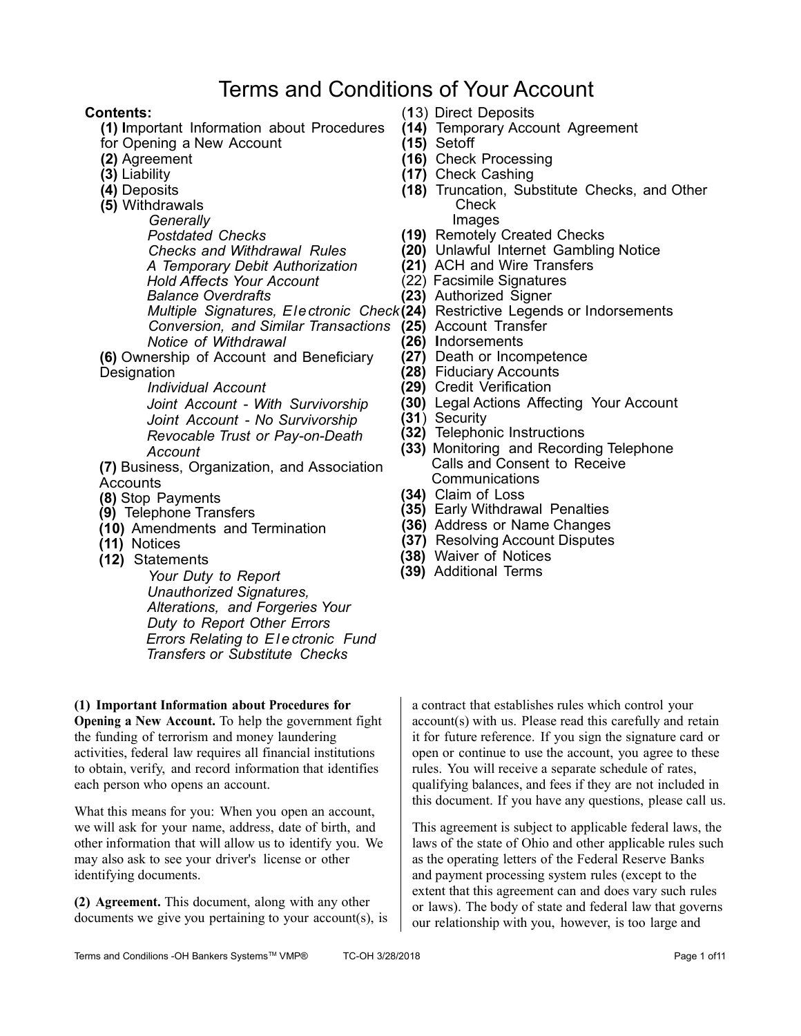# Terms and Conditions of Your Account

## **Contents:**

- **(1) I**mportant Information about Procedures
- for Opening a New Account
- **(2)** Agreement
- **(3)** Liability
- **(4)** Deposits
- **(5)** Withdrawals

*Generally Postdated Checks Checks and Withdrawal Rules A Temporary Debit Authorization Hold Affects Your Account Balance Overdrafts Conversion, and Similar Transactions* **(25)** Account Transfer *Notice of Withdrawal*

**(6)** Ownership of Account and Beneficiary **Designation** 

*Individual Account*

*Joint Account* - *With Survivorship Joint Account* - *No Survivorship Revocable Trust or Pay-on-Death Account*

**(7)** Business, Organization, and Association **Accounts** 

- **(8)** Stop Payments
- **(9)** Telephone Transfers
- **(10)** Amendments and Termination
- **(11)** Notices
- **(12)** Statements

*Your Duty to Report Unauthorized Signatures, Alterations, and Forgeries Your Duty to Report Other Errors Errors Relating to E l e ctronic Fund Transfers or Substitute Checks*

# **(1) Important Information about Procedures for**

**Opening a New Account.** To help the government fight the funding of terrorism and money laundering activities, federal law requires all financial institutions to obtain, verify, and record information that identifies each person who opens an account.

What this means for you: When you open an account, we will ask for your name, address, date of birth, and other information that will allow us to identify you. We may also ask to see your driver's license or other identifying documents.

**(2) Agreement.** This document, along with any other documents we give you pertaining to your account(s), is

- (**1**3) Direct Deposits
- **(14)** Temporary Account Agreement
- **(15)** Setoff
- **(16)** Check Processing
- **(17)** Check Cashing
- **(18)** Truncation, Substitute Checks, and Other **Check** 
	- Images
- **(19)** Remotely Created Checks
- **(20)** Unlawful Internet Gambling Notice
- **(21)** ACH and Wire Transfers
- (22) Facsimile Signatures
- **(23)** Authorized Signer
- *Multiple Signatures, Electronic Check* **(24)** Restrictive Legends or Indorsements
	-
	- **(26) I**ndorsements
	- **(27)** Death or Incompetence
	- **(28)** Fiduciary Accounts
	- **(29)** Credit Verification
	- **(30)** Legal Actions Affecting Your Account
	- **(31**) Security
	- **(32)** Telephonic Instructions
	- **(33)** Monitoring and Recording Telephone Calls and Consent to Receive **Communications**
	- **(34)** Claim of Loss
	- **(35)** Early Withdrawal Penalties
	- **(36)** Address or Name Changes
	- **(37)** Resolving Account Disputes
	- **(38)** Waiver of Notices
	- **(39)** Additional Terms

a contract that establishes rules which control your account(s) with us. Please read this carefully and retain it for future reference. If you sign the signature card or open or continue to use the account, you agree to these rules. You will receive a separate schedule of rates, qualifying balances, and fees if they are not included in this document. If you have any questions, please call us.

This agreement is subject to applicable federal laws, the laws of the state of Ohio and other applicable rules such as the operating letters of the Federal Reserve Banks and payment processing system rules (except to the extent that this agreement can and does vary such rules or laws). The body of state and federal law that governs our relationship with you, however, is too large and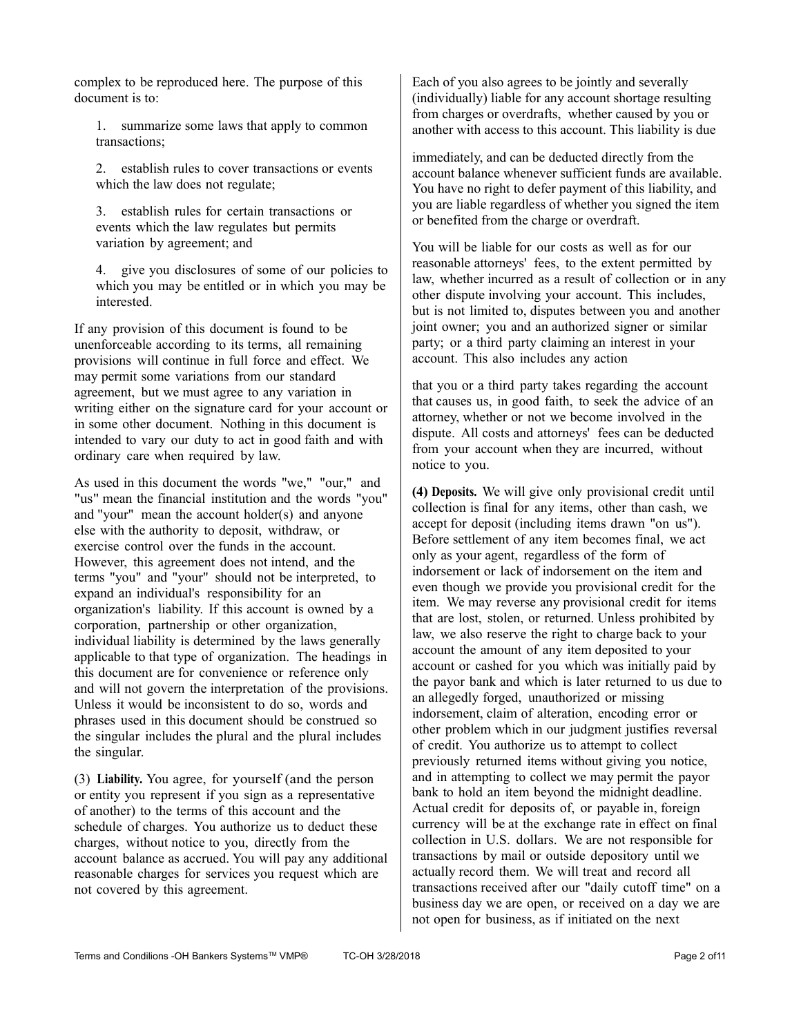complex to be reproduced here. The purpose of this document is to:

1. summarize some laws that apply to common transactions;

2. establish rules to cover transactions or events which the law does not regulate;

3. establish rules for certain transactions or events which the law regulates but permits variation by agreement; and

4. give you disclosures of some of our policies to which you may be entitled or in which you may be interested.

If any provision of this document is found to be unenforceable according to its terms, all remaining provisions will continue in full force and effect. We may permit some variations from our standard agreement, but we must agree to any variation in writing either on the signature card for your account or in some other document. Nothing in this document is intended to vary our duty to act in good faith and with ordinary care when required by law.

As used in this document the words "we," "our," and "us" mean the financial institution and the words "you" and "your" mean the account holder(s) and anyone else with the authority to deposit, withdraw, or exercise control over the funds in the account. However, this agreement does not intend, and the terms "you" and "your" should not be interpreted, to expand an individual's responsibility for an organization's liability. If this account is owned by a corporation, partnership or other organization, individual liability is determined by the laws generally applicable to that type of organization. The headings in this document are for convenience or reference only and will not govern the interpretation of the provisions. Unless it would be inconsistent to do so, words and phrases used in this document should be construed so the singular includes the plural and the plural includes the singular.

(3) **Liability.** You agree, for yourself (and the person or entity you represent if you sign as a representative of another) to the terms of this account and the schedule of charges. You authorize us to deduct these charges, without notice to you, directly from the account balance as accrued. You will pay any additional reasonable charges for services you request which are not covered by this agreement.

Each of you also agrees to be jointly and severally (individually) liable for any account shortage resulting from charges or overdrafts, whether caused by you or another with access to this account. This liability is due

immediately, and can be deducted directly from the account balance whenever sufficient funds are available. You have no right to defer payment of this liability, and you are liable regardless of whether you signed the item or benefited from the charge or overdraft.

You will be liable for our costs as well as for our reasonable attorneys' fees, to the extent permitted by law, whether incurred as a result of collection or in any other dispute involving your account. This includes, but is not limited to, disputes between you and another joint owner; you and an authorized signer or similar party; or a third party claiming an interest in your account. This also includes any action

that you or a third party takes regarding the account that causes us, in good faith, to seek the advice of an attorney, whether or not we become involved in the dispute. All costs and attorneys' fees can be deducted from your account when they are incurred, without notice to you.

**(4) Deposits.** We will give only provisional credit until collection is final for any items, other than cash, we accept for deposit (including items drawn "on us"). Before settlement of any item becomes final, we act only as your agent, regardless of the form of indorsement or lack of indorsement on the item and even though we provide you provisional credit for the item. We may reverse any provisional credit for items that are lost, stolen, or returned. Unless prohibited by law, we also reserve the right to charge back to your account the amount of any item deposited to your account or cashed for you which was initially paid by the payor bank and which is later returned to us due to an allegedly forged, unauthorized or missing indorsement, claim of alteration, encoding error or other problem which in our judgment justifies reversal of credit. You authorize us to attempt to collect previously returned items without giving you notice, and in attempting to collect we may permit the payor bank to hold an item beyond the midnight deadline. Actual credit for deposits of, or payable in, foreign currency will be at the exchange rate in effect on final collection in U.S. dollars. We are not responsible for transactions by mail or outside depository until we actually record them. We will treat and record all transactions received after our "daily cutoff time" on a business day we are open, or received on a day we are not open for business, as if initiated on the next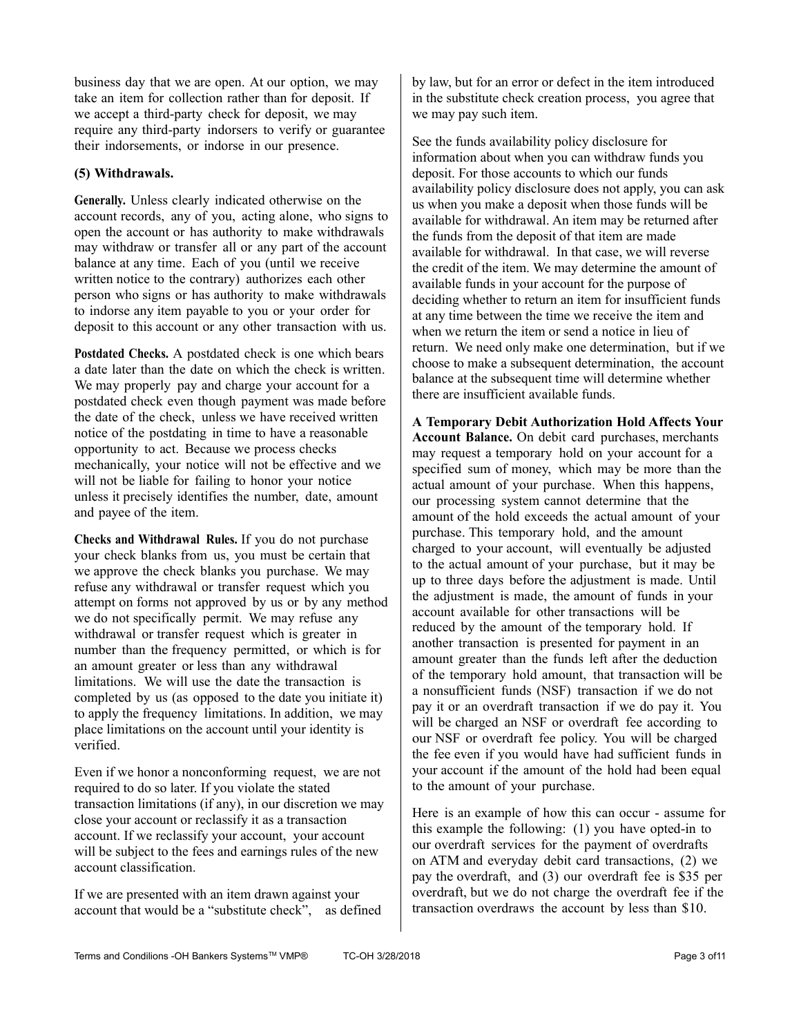business day that we are open. At our option, we may take an item for collection rather than for deposit. If we accept a third-party check for deposit, we may require any third-party indorsers to verify or guarantee their indorsements, or indorse in our presence.

#### **(5) Withdrawals.**

**Generally.** Unless clearly indicated otherwise on the account records, any of you, acting alone, who signs to open the account or has authority to make withdrawals may withdraw or transfer all or any part of the account balance at any time. Each of you (until we receive written notice to the contrary) authorizes each other person who signs or has authority to make withdrawals to indorse any item payable to you or your order for deposit to this account or any other transaction with us.

**Postdated Checks.** A postdated check is one which bears a date later than the date on which the check is written. We may properly pay and charge your account for a postdated check even though payment was made before the date of the check, unless we have received written notice of the postdating in time to have a reasonable opportunity to act. Because we process checks mechanically, your notice will not be effective and we will not be liable for failing to honor your notice unless it precisely identifies the number, date, amount and payee of the item.

**Checks and Withdrawal Rules.** If you do not purchase your check blanks from us, you must be certain that we approve the check blanks you purchase. We may refuse any withdrawal or transfer request which you attempt on forms not approved by us or by any method we do not specifically permit. We may refuse any withdrawal or transfer request which is greater in number than the frequency permitted, or which is for an amount greater or less than any withdrawal limitations. We will use the date the transaction is completed by us (as opposed to the date you initiate it) to apply the frequency limitations. In addition, we may place limitations on the account until your identity is verified.

Even if we honor a nonconforming request, we are not required to do so later. If you violate the stated transaction limitations (if any), in our discretion we may close your account or reclassify it as a transaction account. If we reclassify your account, your account will be subject to the fees and earnings rules of the new account classification.

If we are presented with an item drawn against your account that would be a "substitute check", as defined by law, but for an error or defect in the item introduced in the substitute check creation process, you agree that we may pay such item.

See the funds availability policy disclosure for information about when you can withdraw funds you deposit. For those accounts to which our funds availability policy disclosure does not apply, you can ask us when you make a deposit when those funds will be available for withdrawal. An item may be returned after the funds from the deposit of that item are made available for withdrawal. In that case, we will reverse the credit of the item. We may determine the amount of available funds in your account for the purpose of deciding whether to return an item for insufficient funds at any time between the time we receive the item and when we return the item or send a notice in lieu of return. We need only make one determination, but if we choose to make a subsequent determination, the account balance at the subsequent time will determine whether there are insufficient available funds.

**A Temporary Debit Authorization Hold Affects Your Account Balance.** On debit card purchases, merchants may request a temporary hold on your account for a specified sum of money, which may be more than the actual amount of your purchase. When this happens, our processing system cannot determine that the amount of the hold exceeds the actual amount of your purchase. This temporary hold, and the amount charged to your account, will eventually be adjusted to the actual amount of your purchase, but it may be up to three days before the adjustment is made. Until the adjustment is made, the amount of funds in your account available for other transactions will be reduced by the amount of the temporary hold. If another transaction is presented for payment in an amount greater than the funds left after the deduction of the temporary hold amount, that transaction will be a nonsufficient funds (NSF) transaction if we do not pay it or an overdraft transaction if we do pay it. You will be charged an NSF or overdraft fee according to our NSF or overdraft fee policy. You will be charged the fee even if you would have had sufficient funds in your account if the amount of the hold had been equal to the amount of your purchase.

Here is an example of how this can occur - assume for this example the following: (1) you have opted-in to our overdraft services for the payment of overdrafts on ATM and everyday debit card transactions, (2) we pay the overdraft, and (3) our overdraft fee is \$35 per overdraft, but we do not charge the overdraft fee if the transaction overdraws the account by less than \$10.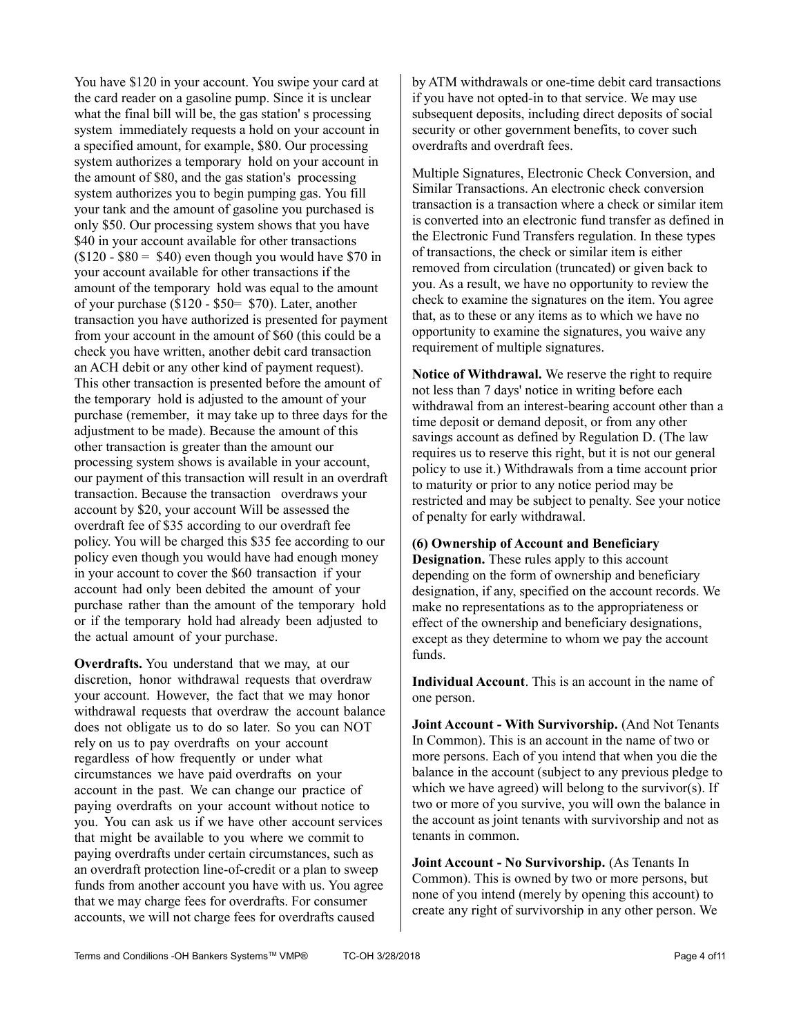You have \$120 in your account. You swipe your card at the card reader on a gasoline pump. Since it is unclear what the final bill will be, the gas station' s processing system immediately requests a hold on your account in a specified amount, for example, \$80. Our processing system authorizes a temporary hold on your account in the amount of \$80, and the gas station's processing system authorizes you to begin pumping gas. You fill your tank and the amount of gasoline you purchased is only \$50. Our processing system shows that you have \$40 in your account available for other transactions  $($120 - $80 = $40)$  even though you would have \$70 in your account available for other transactions if the amount of the temporary hold was equal to the amount of your purchase (\$120 - \$50= \$70). Later, another transaction you have authorized is presented for payment from your account in the amount of \$60 (this could be a check you have written, another debit card transaction an ACH debit or any other kind of payment request). This other transaction is presented before the amount of the temporary hold is adjusted to the amount of your purchase (remember, it may take up to three days for the adjustment to be made). Because the amount of this other transaction is greater than the amount our processing system shows is available in your account, our payment of this transaction will result in an overdraft transaction. Because the transaction overdraws your account by \$20, your account Will be assessed the overdraft fee of \$35 according to our overdraft fee policy. You will be charged this \$35 fee according to our policy even though you would have had enough money in your account to cover the \$60 transaction if your account had only been debited the amount of your purchase rather than the amount of the temporary hold or if the temporary hold had already been adjusted to the actual amount of your purchase.

**Overdrafts.** You understand that we may, at our discretion, honor withdrawal requests that overdraw your account. However, the fact that we may honor withdrawal requests that overdraw the account balance does not obligate us to do so later. So you can NOT rely on us to pay overdrafts on your account regardless of how frequently or under what circumstances we have paid overdrafts on your account in the past. We can change our practice of paying overdrafts on your account without notice to you. You can ask us if we have other account services that might be available to you where we commit to paying overdrafts under certain circumstances, such as an overdraft protection line-of-credit or a plan to sweep funds from another account you have with us. You agree that we may charge fees for overdrafts. For consumer accounts, we will not charge fees for overdrafts caused

by ATM withdrawals or one-time debit card transactions if you have not opted-in to that service. We may use subsequent deposits, including direct deposits of social security or other government benefits, to cover such overdrafts and overdraft fees.

Multiple Signatures, Electronic Check Conversion, and Similar Transactions. An electronic check conversion transaction is a transaction where a check or similar item is converted into an electronic fund transfer as defined in the Electronic Fund Transfers regulation. In these types of transactions, the check or similar item is either removed from circulation (truncated) or given back to you. As a result, we have no opportunity to review the check to examine the signatures on the item. You agree that, as to these or any items as to which we have no opportunity to examine the signatures, you waive any requirement of multiple signatures.

**Notice of Withdrawal.** We reserve the right to require not less than 7 days' notice in writing before each withdrawal from an interest-bearing account other than a time deposit or demand deposit, or from any other savings account as defined by Regulation D. (The law requires us to reserve this right, but it is not our general policy to use it.) Withdrawals from a time account prior to maturity or prior to any notice period may be restricted and may be subject to penalty. See your notice of penalty for early withdrawal.

#### **(6) Ownership of Account and Beneficiary**

**Designation.** These rules apply to this account depending on the form of ownership and beneficiary designation, if any, specified on the account records. We make no representations as to the appropriateness or effect of the ownership and beneficiary designations, except as they determine to whom we pay the account funds.

**Individual Account**. This is an account in the name of one person.

**Joint Account - With Survivorship.** (And Not Tenants) In Common). This is an account in the name of two or more persons. Each of you intend that when you die the balance in the account (subject to any previous pledge to which we have agreed) will belong to the survivor(s). If two or more of you survive, you will own the balance in the account as joint tenants with survivorship and not as tenants in common.

**Joint Account - No Survivorship.** (As Tenants In Common). This is owned by two or more persons, but none of you intend (merely by opening this account) to create any right of survivorship in any other person. We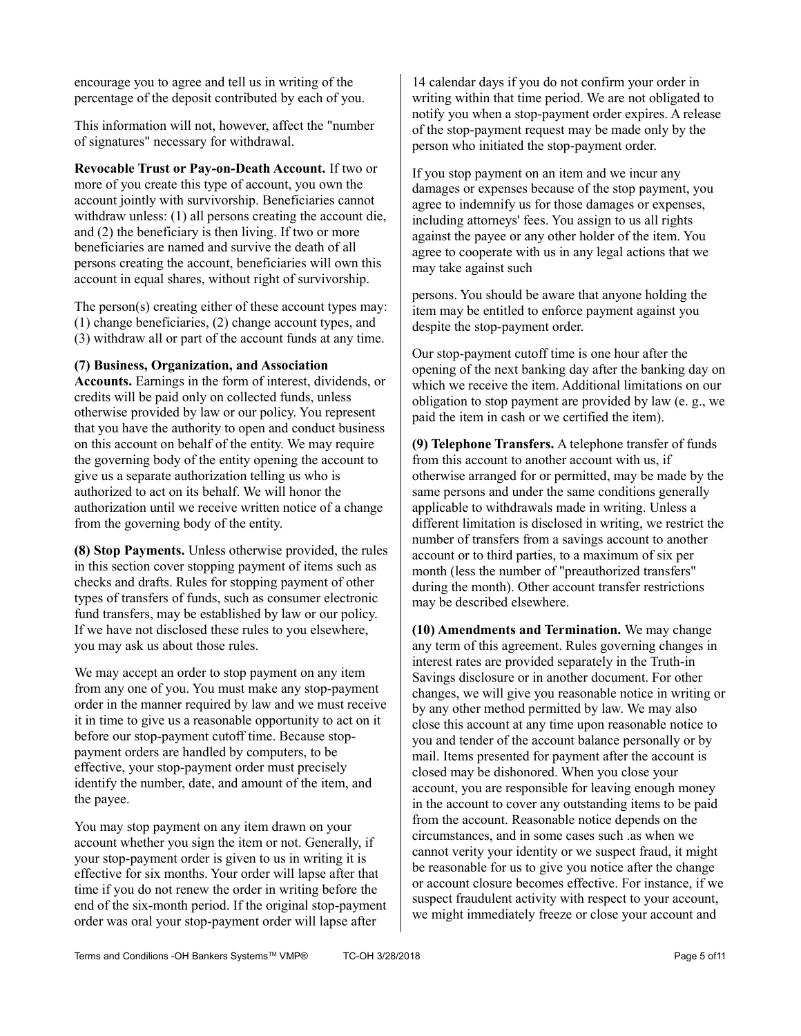encourage you to agree and tell us in writing of the percentage of the deposit contributed by each of you.

This information will not, however, affect the "number of signatures" necessary for withdrawal.

**Revocable Trust or Pay-on-Death Account.** If two or more of you create this type of account, you own the account jointly with survivorship. Beneficiaries cannot withdraw unless: (1) all persons creating the account die, and (2) the beneficiary is then living. If two or more beneficiaries are named and survive the death of all persons creating the account, beneficiaries will own this account in equal shares, without right of survivorship.

The person(s) creating either of these account types may: (1) change beneficiaries, (2) change account types, and (3) withdraw all or part of the account funds at any time.

#### **(7) Business, Organization, and Association**

**Accounts.** Earnings in the form of interest, dividends, or credits will be paid only on collected funds, unless otherwise provided by law or our policy. You represent that you have the authority to open and conduct business on this account on behalf of the entity. We may require the governing body of the entity opening the account to give us a separate authorization telling us who is authorized to act on its behalf. We will honor the authorization until we receive written notice of a change from the governing body of the entity.

**(8) Stop Payments.** Unless otherwise provided, the rules in this section cover stopping payment of items such as checks and drafts. Rules for stopping payment of other types of transfers of funds, such as consumer electronic fund transfers, may be established by law or our policy. If we have not disclosed these rules to you elsewhere, you may ask us about those rules.

We may accept an order to stop payment on any item from any one of you. You must make any stop-payment order in the manner required by law and we must receive it in time to give us a reasonable opportunity to act on it before our stop-payment cutoff time. Because stoppayment orders are handled by computers, to be effective, your stop-payment order must precisely identify the number, date, and amount of the item, and the payee.

You may stop payment on any item drawn on your account whether you sign the item or not. Generally, if your stop-payment order is given to us in writing it is effective for six months. Your order will lapse after that time if you do not renew the order in writing before the end of the six-month period. If the original stop-payment order was oral your stop-payment order will lapse after

14 calendar days if you do not confirm your order in writing within that time period. We are not obligated to notify you when a stop-payment order expires. A release of the stop-payment request may be made only by the person who initiated the stop-payment order.

If you stop payment on an item and we incur any damages or expenses because of the stop payment, you agree to indemnify us for those damages or expenses, including attorneys' fees. You assign to us all rights against the payee or any other holder of the item. You agree to cooperate with us in any legal actions that we may take against such

persons. You should be aware that anyone holding the item may be entitled to enforce payment against you despite the stop-payment order.

Our stop-payment cutoff time is one hour after the opening of the next banking day after the banking day on which we receive the item. Additional limitations on our obligation to stop payment are provided by law (e. g., we paid the item in cash or we certified the item).

**(9) Telephone Transfers.** A telephone transfer of funds from this account to another account with us, if otherwise arranged for or permitted, may be made by the same persons and under the same conditions generally applicable to withdrawals made in writing. Unless a different limitation is disclosed in writing, we restrict the number of transfers from a savings account to another account or to third parties, to a maximum of six per month (less the number of "preauthorized transfers" during the month). Other account transfer restrictions may be described elsewhere.

**(10) Amendments and Termination.** We may change any term of this agreement. Rules governing changes in interest rates are provided separately in the Truth-in Savings disclosure or in another document. For other changes, we will give you reasonable notice in writing or by any other method permitted by law. We may also close this account at any time upon reasonable notice to you and tender of the account balance personally or by mail. Items presented for payment after the account is closed may be dishonored. When you close your account, you are responsible for leaving enough money in the account to cover any outstanding items to be paid from the account. Reasonable notice depends on the circumstances, and in some cases such .as when we cannot verity your identity or we suspect fraud, it might be reasonable for us to give you notice after the change or account closure becomes effective. For instance, if we suspect fraudulent activity with respect to your account, we might immediately freeze or close your account and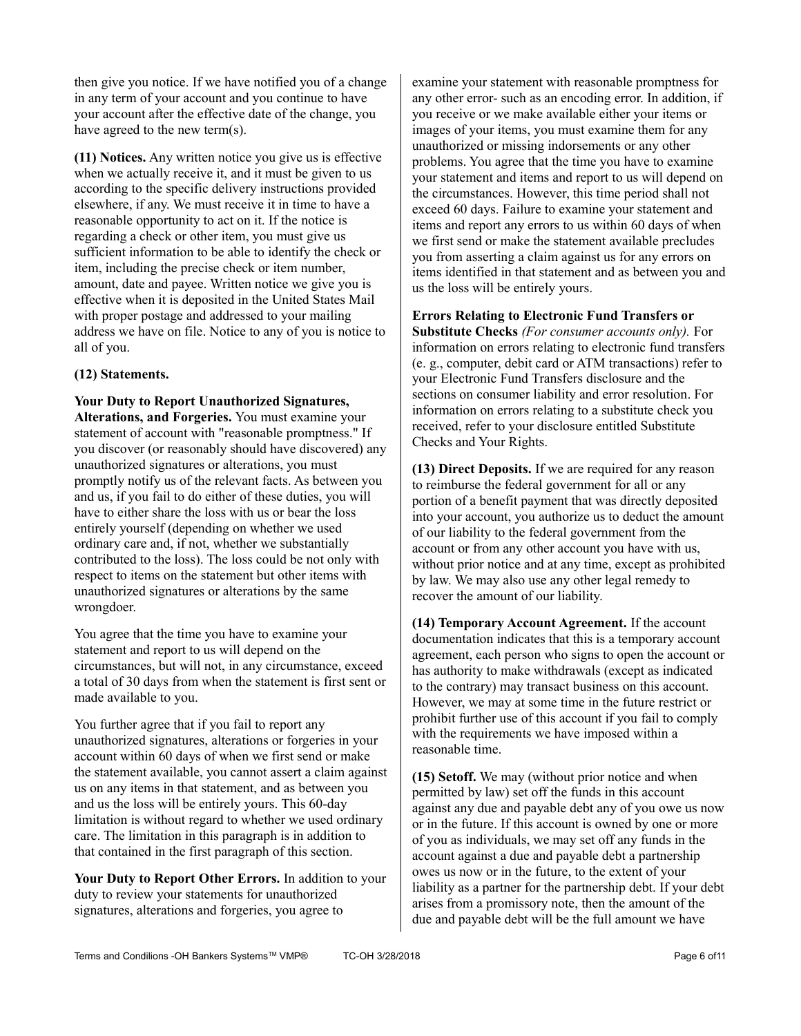then give you notice. If we have notified you of a change in any term of your account and you continue to have your account after the effective date of the change, you have agreed to the new term(s).

**(11) Notices.** Any written notice you give us is effective when we actually receive it, and it must be given to us according to the specific delivery instructions provided elsewhere, if any. We must receive it in time to have a reasonable opportunity to act on it. If the notice is regarding a check or other item, you must give us sufficient information to be able to identify the check or item, including the precise check or item number, amount, date and payee. Written notice we give you is effective when it is deposited in the United States Mail with proper postage and addressed to your mailing address we have on file. Notice to any of you is notice to all of you.

## **(12) Statements.**

**Your Duty to Report Unauthorized Signatures, Alterations, and Forgeries.** You must examine your statement of account with "reasonable promptness." If you discover (or reasonably should have discovered) any unauthorized signatures or alterations, you must promptly notify us of the relevant facts. As between you and us, if you fail to do either of these duties, you will have to either share the loss with us or bear the loss entirely yourself (depending on whether we used ordinary care and, if not, whether we substantially contributed to the loss). The loss could be not only with respect to items on the statement but other items with unauthorized signatures or alterations by the same wrongdoer.

You agree that the time you have to examine your statement and report to us will depend on the circumstances, but will not, in any circumstance, exceed a total of 30 days from when the statement is first sent or made available to you.

You further agree that if you fail to report any unauthorized signatures, alterations or forgeries in your account within 60 days of when we first send or make the statement available, you cannot assert a claim against us on any items in that statement, and as between you and us the loss will be entirely yours. This 60-day limitation is without regard to whether we used ordinary care. The limitation in this paragraph is in addition to that contained in the first paragraph of this section.

**Your Duty to Report Other Errors.** In addition to your duty to review your statements for unauthorized signatures, alterations and forgeries, you agree to

examine your statement with reasonable promptness for any other error- such as an encoding error. In addition, if you receive or we make available either your items or images of your items, you must examine them for any unauthorized or missing indorsements or any other problems. You agree that the time you have to examine your statement and items and report to us will depend on the circumstances. However, this time period shall not exceed 60 days. Failure to examine your statement and items and report any errors to us within 60 days of when we first send or make the statement available precludes you from asserting a claim against us for any errors on items identified in that statement and as between you and us the loss will be entirely yours.

**Errors Relating to Electronic Fund Transfers or** 

**Substitute Checks** *(For consumer accounts only).* For information on errors relating to electronic fund transfers (e. g., computer, debit card or ATM transactions) refer to your Electronic Fund Transfers disclosure and the sections on consumer liability and error resolution. For information on errors relating to a substitute check you received, refer to your disclosure entitled Substitute Checks and Your Rights.

**(13) Direct Deposits.** If we are required for any reason to reimburse the federal government for all or any portion of a benefit payment that was directly deposited into your account, you authorize us to deduct the amount of our liability to the federal government from the account or from any other account you have with us, without prior notice and at any time, except as prohibited by law. We may also use any other legal remedy to recover the amount of our liability.

**(14) Temporary Account Agreement.** If the account documentation indicates that this is a temporary account agreement, each person who signs to open the account or has authority to make withdrawals (except as indicated to the contrary) may transact business on this account. However, we may at some time in the future restrict or prohibit further use of this account if you fail to comply with the requirements we have imposed within a reasonable time.

**(15) Setoff.** We may (without prior notice and when permitted by law) set off the funds in this account against any due and payable debt any of you owe us now or in the future. If this account is owned by one or more of you as individuals, we may set off any funds in the account against a due and payable debt a partnership owes us now or in the future, to the extent of your liability as a partner for the partnership debt. If your debt arises from a promissory note, then the amount of the due and payable debt will be the full amount we have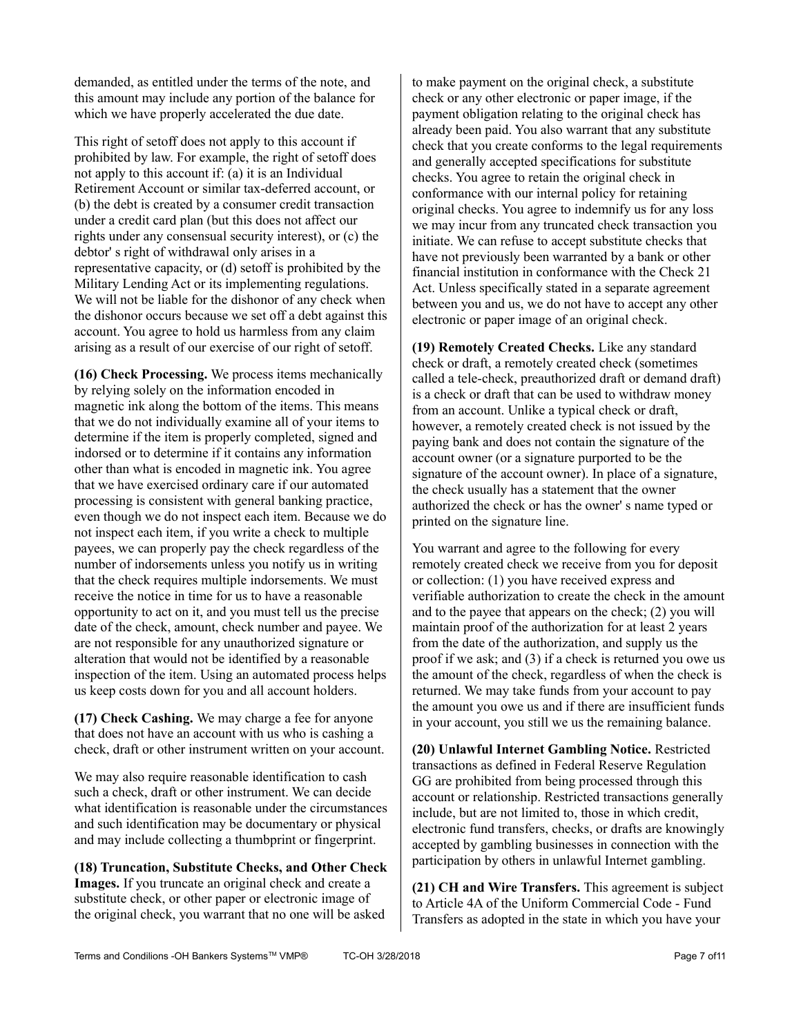demanded, as entitled under the terms of the note, and this amount may include any portion of the balance for which we have properly accelerated the due date.

This right of setoff does not apply to this account if prohibited by law. For example, the right of setoff does not apply to this account if: (a) it is an Individual Retirement Account or similar tax-deferred account, or (b) the debt is created by a consumer credit transaction under a credit card plan (but this does not affect our rights under any consensual security interest), or (c) the debtor' s right of withdrawal only arises in a representative capacity, or (d) setoff is prohibited by the Military Lending Act or its implementing regulations. We will not be liable for the dishonor of any check when the dishonor occurs because we set off a debt against this account. You agree to hold us harmless from any claim arising as a result of our exercise of our right of setoff.

**(16) Check Processing.** We process items mechanically by relying solely on the information encoded in magnetic ink along the bottom of the items. This means that we do not individually examine all of your items to determine if the item is properly completed, signed and indorsed or to determine if it contains any information other than what is encoded in magnetic ink. You agree that we have exercised ordinary care if our automated processing is consistent with general banking practice, even though we do not inspect each item. Because we do not inspect each item, if you write a check to multiple payees, we can properly pay the check regardless of the number of indorsements unless you notify us in writing that the check requires multiple indorsements. We must receive the notice in time for us to have a reasonable opportunity to act on it, and you must tell us the precise date of the check, amount, check number and payee. We are not responsible for any unauthorized signature or alteration that would not be identified by a reasonable inspection of the item. Using an automated process helps us keep costs down for you and all account holders.

**(17) Check Cashing.** We may charge a fee for anyone that does not have an account with us who is cashing a check, draft or other instrument written on your account.

We may also require reasonable identification to cash such a check, draft or other instrument. We can decide what identification is reasonable under the circumstances and such identification may be documentary or physical and may include collecting a thumbprint or fingerprint.

**(18) Truncation, Substitute Checks, and Other Check Images.** If you truncate an original check and create a substitute check, or other paper or electronic image of the original check, you warrant that no one will be asked

to make payment on the original check, a substitute check or any other electronic or paper image, if the payment obligation relating to the original check has already been paid. You also warrant that any substitute check that you create conforms to the legal requirements and generally accepted specifications for substitute checks. You agree to retain the original check in conformance with our internal policy for retaining original checks. You agree to indemnify us for any loss we may incur from any truncated check transaction you initiate. We can refuse to accept substitute checks that have not previously been warranted by a bank or other financial institution in conformance with the Check 21 Act. Unless specifically stated in a separate agreement between you and us, we do not have to accept any other electronic or paper image of an original check.

**(19) Remotely Created Checks.** Like any standard check or draft, a remotely created check (sometimes called a tele-check, preauthorized draft or demand draft) is a check or draft that can be used to withdraw money from an account. Unlike a typical check or draft, however, a remotely created check is not issued by the paying bank and does not contain the signature of the account owner (or a signature purported to be the signature of the account owner). In place of a signature, the check usually has a statement that the owner authorized the check or has the owner' s name typed or printed on the signature line.

You warrant and agree to the following for every remotely created check we receive from you for deposit or collection: (1) you have received express and verifiable authorization to create the check in the amount and to the payee that appears on the check; (2) you will maintain proof of the authorization for at least 2 years from the date of the authorization, and supply us the proof if we ask; and (3) if a check is returned you owe us the amount of the check, regardless of when the check is returned. We may take funds from your account to pay the amount you owe us and if there are insufficient funds in your account, you still we us the remaining balance.

**(20) Unlawful Internet Gambling Notice.** Restricted transactions as defined in Federal Reserve Regulation GG are prohibited from being processed through this account or relationship. Restricted transactions generally include, but are not limited to, those in which credit, electronic fund transfers, checks, or drafts are knowingly accepted by gambling businesses in connection with the participation by others in unlawful Internet gambling.

**(21) CH and Wire Transfers.** This agreement is subject to Article 4A of the Uniform Commercial Code - Fund Transfers as adopted in the state in which you have your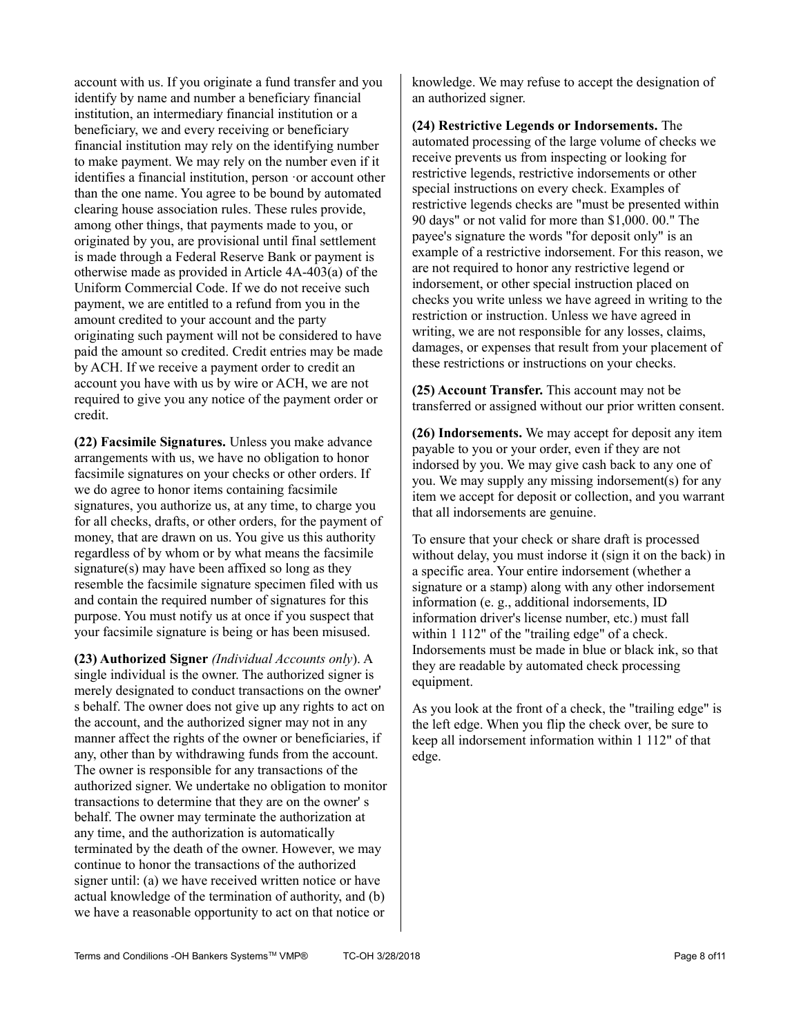account with us. If you originate a fund transfer and you identify by name and number a beneficiary financial institution, an intermediary financial institution or a beneficiary, we and every receiving or beneficiary financial institution may rely on the identifying number to make payment. We may rely on the number even if it identifies a financial institution, person ·or account other than the one name. You agree to be bound by automated clearing house association rules. These rules provide, among other things, that payments made to you, or originated by you, are provisional until final settlement is made through a Federal Reserve Bank or payment is otherwise made as provided in Article 4A-403(a) of the Uniform Commercial Code. If we do not receive such payment, we are entitled to a refund from you in the amount credited to your account and the party originating such payment will not be considered to have paid the amount so credited. Credit entries may be made by ACH. If we receive a payment order to credit an account you have with us by wire or ACH, we are not required to give you any notice of the payment order or credit.

**(22) Facsimile Signatures.** Unless you make advance arrangements with us, we have no obligation to honor facsimile signatures on your checks or other orders. If we do agree to honor items containing facsimile signatures, you authorize us, at any time, to charge you for all checks, drafts, or other orders, for the payment of money, that are drawn on us. You give us this authority regardless of by whom or by what means the facsimile signature(s) may have been affixed so long as they resemble the facsimile signature specimen filed with us and contain the required number of signatures for this purpose. You must notify us at once if you suspect that your facsimile signature is being or has been misused.

**(23) Authorized Signer** *(Individual Accounts only*). A single individual is the owner. The authorized signer is merely designated to conduct transactions on the owner' s behalf. The owner does not give up any rights to act on the account, and the authorized signer may not in any manner affect the rights of the owner or beneficiaries, if any, other than by withdrawing funds from the account. The owner is responsible for any transactions of the authorized signer. We undertake no obligation to monitor transactions to determine that they are on the owner' s behalf. The owner may terminate the authorization at any time, and the authorization is automatically terminated by the death of the owner. However, we may continue to honor the transactions of the authorized signer until: (a) we have received written notice or have actual knowledge of the termination of authority, and (b) we have a reasonable opportunity to act on that notice or

knowledge. We may refuse to accept the designation of an authorized signer.

**(24) Restrictive Legends or Indorsements.** The automated processing of the large volume of checks we receive prevents us from inspecting or looking for restrictive legends, restrictive indorsements or other special instructions on every check. Examples of restrictive legends checks are "must be presented within 90 days" or not valid for more than \$1,000. 00." The payee's signature the words "for deposit only" is an example of a restrictive indorsement. For this reason, we are not required to honor any restrictive legend or indorsement, or other special instruction placed on checks you write unless we have agreed in writing to the restriction or instruction. Unless we have agreed in writing, we are not responsible for any losses, claims, damages, or expenses that result from your placement of these restrictions or instructions on your checks.

**(25) Account Transfer.** This account may not be transferred or assigned without our prior written consent.

**(26) Indorsements.** We may accept for deposit any item payable to you or your order, even if they are not indorsed by you. We may give cash back to any one of you. We may supply any missing indorsement(s) for any item we accept for deposit or collection, and you warrant that all indorsements are genuine.

To ensure that your check or share draft is processed without delay, you must indorse it (sign it on the back) in a specific area. Your entire indorsement (whether a signature or a stamp) along with any other indorsement information (e. g., additional indorsements, ID information driver's license number, etc.) must fall within 1 112" of the "trailing edge" of a check. Indorsements must be made in blue or black ink, so that they are readable by automated check processing equipment.

As you look at the front of a check, the "trailing edge" is the left edge. When you flip the check over, be sure to keep all indorsement information within 1 112" of that edge.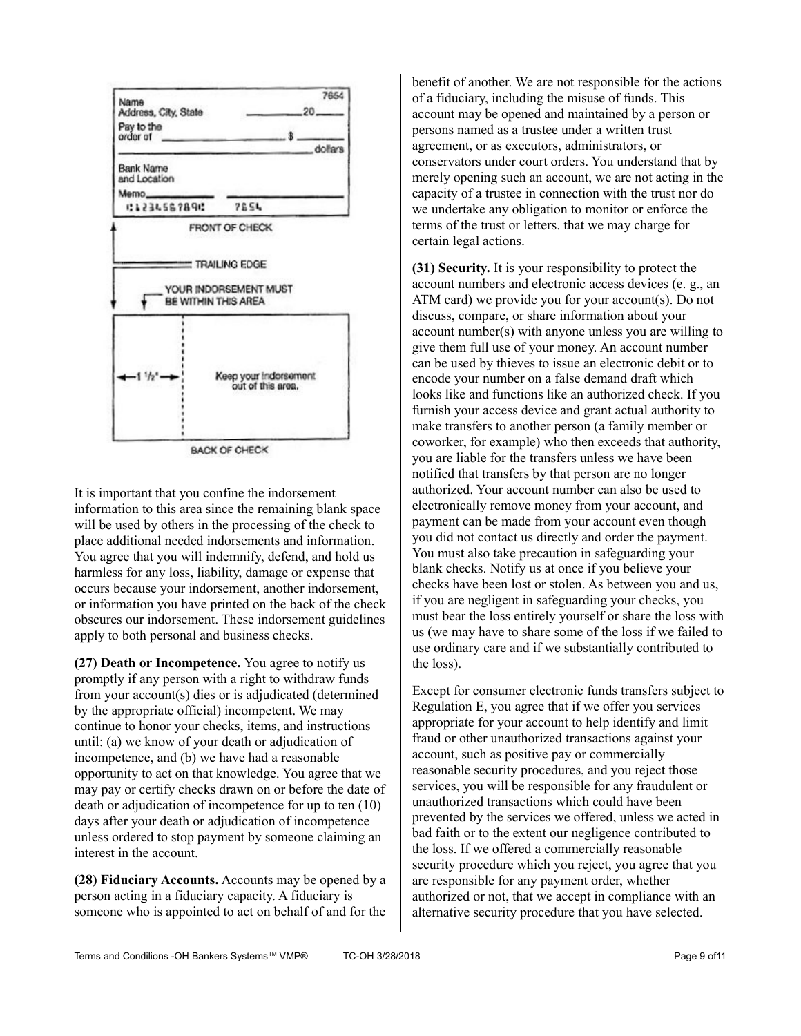

It is important that you confine the indorsement information to this area since the remaining blank space will be used by others in the processing of the check to place additional needed indorsements and information. You agree that you will indemnify, defend, and hold us harmless for any loss, liability, damage or expense that occurs because your indorsement, another indorsement, or information you have printed on the back of the check obscures our indorsement. These indorsement guidelines apply to both personal and business checks.

**(27) Death or Incompetence.** You agree to notify us promptly if any person with a right to withdraw funds from your account(s) dies or is adjudicated (determined by the appropriate official) incompetent. We may continue to honor your checks, items, and instructions until: (a) we know of your death or adjudication of incompetence, and (b) we have had a reasonable opportunity to act on that knowledge. You agree that we may pay or certify checks drawn on or before the date of death or adjudication of incompetence for up to ten (10) days after your death or adjudication of incompetence unless ordered to stop payment by someone claiming an interest in the account.

**(28) Fiduciary Accounts.** Accounts may be opened by a person acting in a fiduciary capacity. A fiduciary is someone who is appointed to act on behalf of and for the benefit of another. We are not responsible for the actions of a fiduciary, including the misuse of funds. This account may be opened and maintained by a person or persons named as a trustee under a written trust agreement, or as executors, administrators, or conservators under court orders. You understand that by merely opening such an account, we are not acting in the capacity of a trustee in connection with the trust nor do we undertake any obligation to monitor or enforce the terms of the trust or letters. that we may charge for certain legal actions.

**(31) Security.** It is your responsibility to protect the account numbers and electronic access devices (e. g., an ATM card) we provide you for your account(s). Do not discuss, compare, or share information about your account number(s) with anyone unless you are willing to give them full use of your money. An account number can be used by thieves to issue an electronic debit or to encode your number on a false demand draft which looks like and functions like an authorized check. If you furnish your access device and grant actual authority to make transfers to another person (a family member or coworker, for example) who then exceeds that authority, you are liable for the transfers unless we have been notified that transfers by that person are no longer authorized. Your account number can also be used to electronically remove money from your account, and payment can be made from your account even though you did not contact us directly and order the payment. You must also take precaution in safeguarding your blank checks. Notify us at once if you believe your checks have been lost or stolen. As between you and us, if you are negligent in safeguarding your checks, you must bear the loss entirely yourself or share the loss with us (we may have to share some of the loss if we failed to use ordinary care and if we substantially contributed to the loss).

Except for consumer electronic funds transfers subject to Regulation E, you agree that if we offer you services appropriate for your account to help identify and limit fraud or other unauthorized transactions against your account, such as positive pay or commercially reasonable security procedures, and you reject those services, you will be responsible for any fraudulent or unauthorized transactions which could have been prevented by the services we offered, unless we acted in bad faith or to the extent our negligence contributed to the loss. If we offered a commercially reasonable security procedure which you reject, you agree that you are responsible for any payment order, whether authorized or not, that we accept in compliance with an alternative security procedure that you have selected.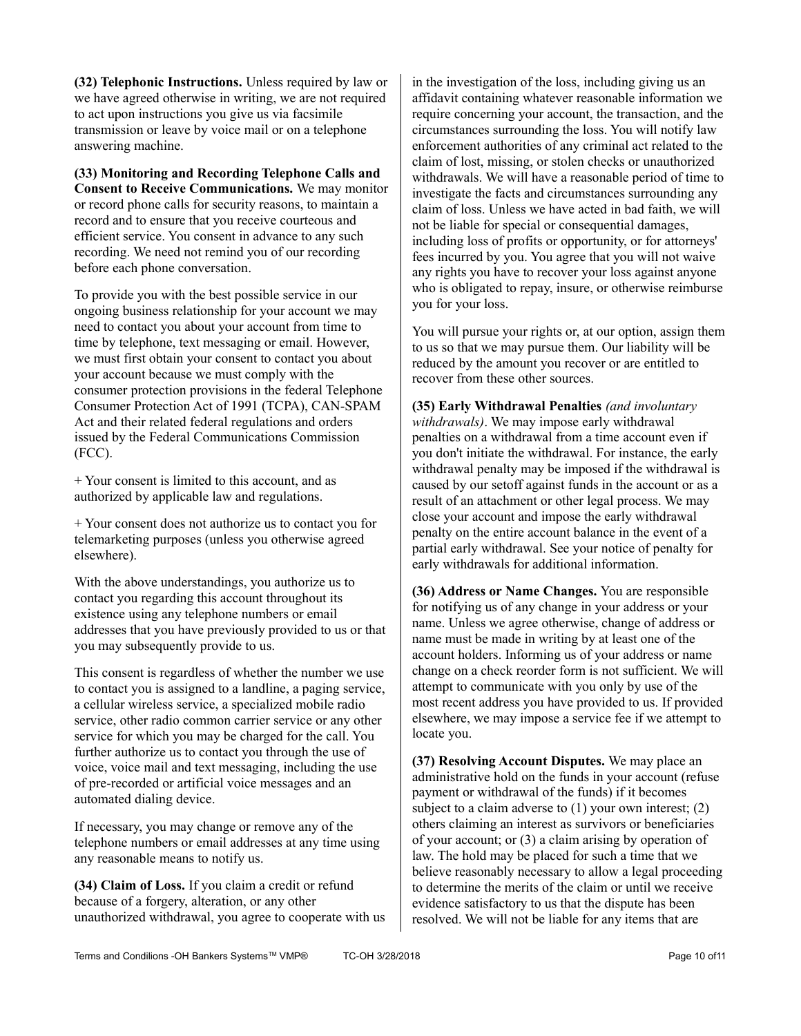**(32) Telephonic Instructions.** Unless required by law or we have agreed otherwise in writing, we are not required to act upon instructions you give us via facsimile transmission or leave by voice mail or on a telephone answering machine.

**(33) Monitoring and Recording Telephone Calls and Consent to Receive Communications.** We may monitor or record phone calls for security reasons, to maintain a record and to ensure that you receive courteous and efficient service. You consent in advance to any such recording. We need not remind you of our recording before each phone conversation.

To provide you with the best possible service in our ongoing business relationship for your account we may need to contact you about your account from time to time by telephone, text messaging or email. However, we must first obtain your consent to contact you about your account because we must comply with the consumer protection provisions in the federal Telephone Consumer Protection Act of 1991 (TCPA), CAN-SPAM Act and their related federal regulations and orders issued by the Federal Communications Commission (FCC).

+ Your consent is limited to this account, and as authorized by applicable law and regulations.

+ Your consent does not authorize us to contact you for telemarketing purposes (unless you otherwise agreed elsewhere).

With the above understandings, you authorize us to contact you regarding this account throughout its existence using any telephone numbers or email addresses that you have previously provided to us or that you may subsequently provide to us.

This consent is regardless of whether the number we use to contact you is assigned to a landline, a paging service, a cellular wireless service, a specialized mobile radio service, other radio common carrier service or any other service for which you may be charged for the call. You further authorize us to contact you through the use of voice, voice mail and text messaging, including the use of pre-recorded or artificial voice messages and an automated dialing device.

If necessary, you may change or remove any of the telephone numbers or email addresses at any time using any reasonable means to notify us.

**(34) Claim of Loss.** If you claim a credit or refund because of a forgery, alteration, or any other unauthorized withdrawal, you agree to cooperate with us in the investigation of the loss, including giving us an affidavit containing whatever reasonable information we require concerning your account, the transaction, and the circumstances surrounding the loss. You will notify law enforcement authorities of any criminal act related to the claim of lost, missing, or stolen checks or unauthorized withdrawals. We will have a reasonable period of time to investigate the facts and circumstances surrounding any claim of loss. Unless we have acted in bad faith, we will not be liable for special or consequential damages, including loss of profits or opportunity, or for attorneys' fees incurred by you. You agree that you will not waive any rights you have to recover your loss against anyone who is obligated to repay, insure, or otherwise reimburse you for your loss.

You will pursue your rights or, at our option, assign them to us so that we may pursue them. Our liability will be reduced by the amount you recover or are entitled to recover from these other sources.

**(35) Early Withdrawal Penalties** *(and involuntary withdrawals)*. We may impose early withdrawal penalties on a withdrawal from a time account even if you don't initiate the withdrawal. For instance, the early withdrawal penalty may be imposed if the withdrawal is caused by our setoff against funds in the account or as a result of an attachment or other legal process. We may close your account and impose the early withdrawal penalty on the entire account balance in the event of a partial early withdrawal. See your notice of penalty for early withdrawals for additional information.

**(36) Address or Name Changes.** You are responsible for notifying us of any change in your address or your name. Unless we agree otherwise, change of address or name must be made in writing by at least one of the account holders. Informing us of your address or name change on a check reorder form is not sufficient. We will attempt to communicate with you only by use of the most recent address you have provided to us. If provided elsewhere, we may impose a service fee if we attempt to locate you.

**(37) Resolving Account Disputes.** We may place an administrative hold on the funds in your account (refuse payment or withdrawal of the funds) if it becomes subject to a claim adverse to (1) your own interest; (2) others claiming an interest as survivors or beneficiaries of your account; or (3) a claim arising by operation of law. The hold may be placed for such a time that we believe reasonably necessary to allow a legal proceeding to determine the merits of the claim or until we receive evidence satisfactory to us that the dispute has been resolved. We will not be liable for any items that are